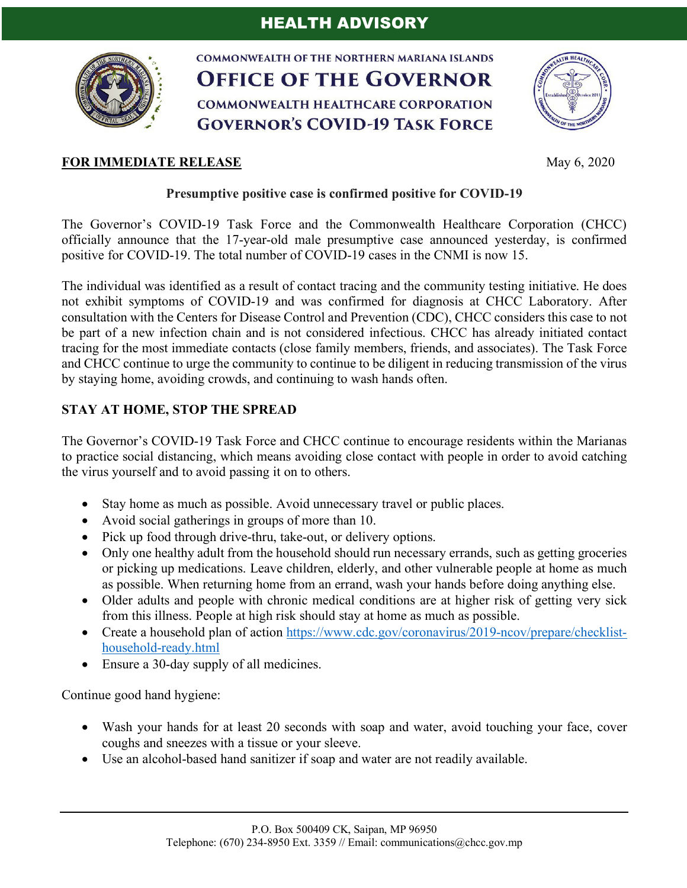

**COMMONWEALTH OF THE NORTHERN MARIANA ISLANDS OFFICE OF THE GOVERNOR COMMONWEALTH HEALTHCARE CORPORATION GOVERNOR'S COVID-19 TASK FORCE** 





## **Presumptive positive case is confirmed positive for COVID-19**

The Governor's COVID-19 Task Force and the Commonwealth Healthcare Corporation (CHCC) officially announce that the 17-year-old male presumptive case announced yesterday, is confirmed positive for COVID-19. The total number of COVID-19 cases in the CNMI is now 15.

The individual was identified as a result of contact tracing and the community testing initiative. He does not exhibit symptoms of COVID-19 and was confirmed for diagnosis at CHCC Laboratory. After consultation with the Centers for Disease Control and Prevention (CDC), CHCC considers this case to not be part of a new infection chain and is not considered infectious. CHCC has already initiated contact tracing for the most immediate contacts (close family members, friends, and associates). The Task Force and CHCC continue to urge the community to continue to be diligent in reducing transmission of the virus by staying home, avoiding crowds, and continuing to wash hands often.

## **STAY AT HOME, STOP THE SPREAD**

The Governor's COVID-19 Task Force and CHCC continue to encourage residents within the Marianas to practice social distancing, which means avoiding close contact with people in order to avoid catching the virus yourself and to avoid passing it on to others.

- Stay home as much as possible. Avoid unnecessary travel or public places.
- Avoid social gatherings in groups of more than 10.
- Pick up food through drive-thru, take-out, or delivery options.
- Only one healthy adult from the household should run necessary errands, such as getting groceries or picking up medications. Leave children, elderly, and other vulnerable people at home as much as possible. When returning home from an errand, wash your hands before doing anything else.
- Older adults and people with chronic medical conditions are at higher risk of getting very sick from this illness. People at high risk should stay at home as much as possible.
- Create a household plan of action https://www.cdc.gov/coronavirus/2019-ncov/prepare/checklisthousehold-ready.html
- Ensure a 30-day supply of all medicines.

Continue good hand hygiene:

- Wash your hands for at least 20 seconds with soap and water, avoid touching your face, cover coughs and sneezes with a tissue or your sleeve.
- Use an alcohol-based hand sanitizer if soap and water are not readily available.